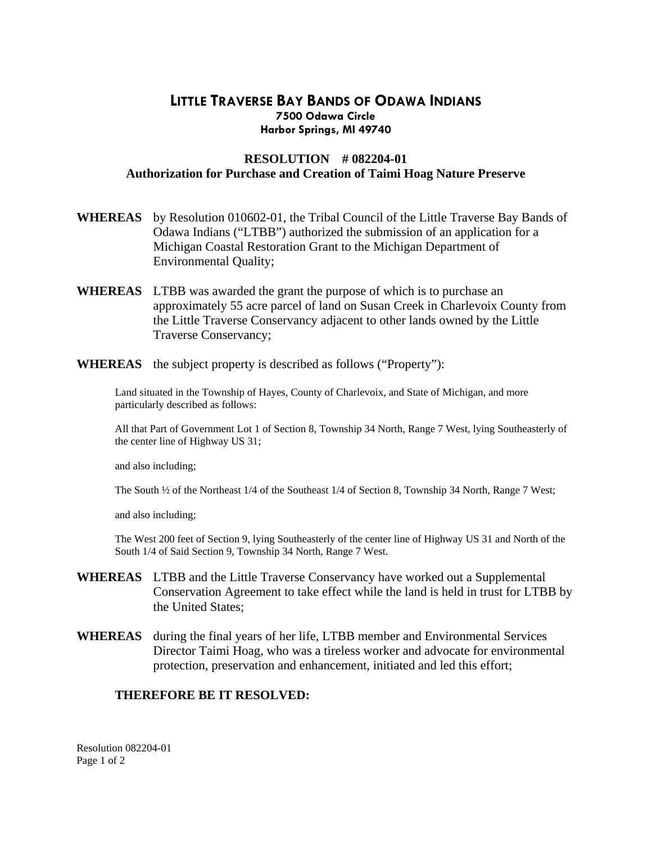## **LITTLE TRAVERSE BAY BANDS OF ODAWA INDIANS 7500 Odawa Circle Harbor Springs, MI 49740**

## **RESOLUTION # 082204-01 Authorization for Purchase and Creation of Taimi Hoag Nature Preserve**

- **WHEREAS** by Resolution 010602-01, the Tribal Council of the Little Traverse Bay Bands of Odawa Indians ("LTBB") authorized the submission of an application for a Michigan Coastal Restoration Grant to the Michigan Department of Environmental Quality;
- **WHEREAS** LTBB was awarded the grant the purpose of which is to purchase an approximately 55 acre parcel of land on Susan Creek in Charlevoix County from the Little Traverse Conservancy adjacent to other lands owned by the Little Traverse Conservancy;
- **WHEREAS** the subject property is described as follows ("Property"):

Land situated in the Township of Hayes, County of Charlevoix, and State of Michigan, and more particularly described as follows:

All that Part of Government Lot 1 of Section 8, Township 34 North, Range 7 West, lying Southeasterly of the center line of Highway US 31;

and also including;

The South ½ of the Northeast 1/4 of the Southeast 1/4 of Section 8, Township 34 North, Range 7 West;

and also including;

The West 200 feet of Section 9, lying Southeasterly of the center line of Highway US 31 and North of the South 1/4 of Said Section 9, Township 34 North, Range 7 West.

- **WHEREAS** LTBB and the Little Traverse Conservancy have worked out a Supplemental Conservation Agreement to take effect while the land is held in trust for LTBB by the United States;
- **WHEREAS** during the final years of her life, LTBB member and Environmental Services Director Taimi Hoag, who was a tireless worker and advocate for environmental protection, preservation and enhancement, initiated and led this effort;

## **THEREFORE BE IT RESOLVED:**

Resolution 082204-01 Page 1 of 2